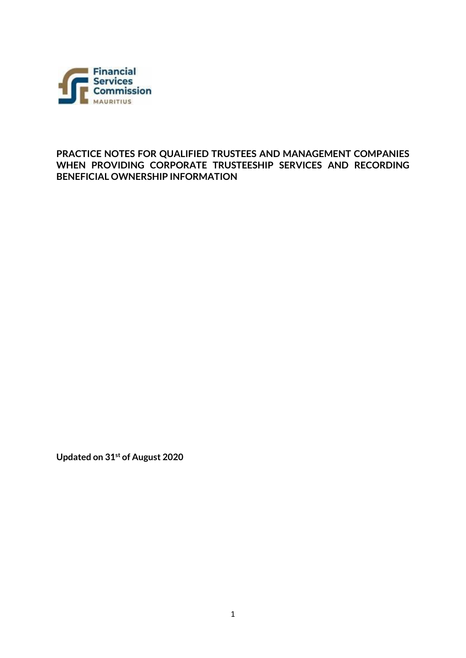

**PRACTICE NOTES FOR QUALIFIED TRUSTEES AND MANAGEMENT COMPANIES WHEN PROVIDING CORPORATE TRUSTEESHIP SERVICES AND RECORDING BENEFICIAL OWNERSHIP INFORMATION**

**Updated on 31st of August 2020**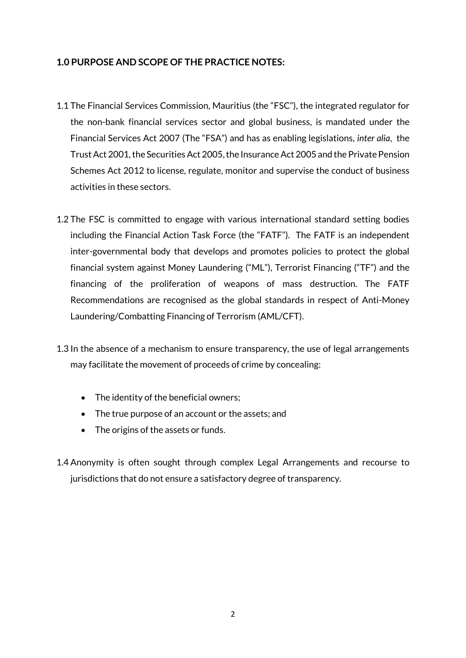# **1.0 PURPOSE AND SCOPE OF THE PRACTICE NOTES:**

- 1.1 The Financial Services Commission, Mauritius (the "FSC"), the integrated regulator for the non-bank financial services sector and global business, is mandated under the [Financial Services Act 2007](https://www.fscmauritius.org/media/1013/financial-services-act-2007-28-aug-2019-cc.pdf) (The "FSA") and has as enabling legislations, *inter alia*, the Trust Act 2001, the [Securities Act 2005,](https://www.fscmauritius.org/media/3667/securities-act-2005.pdf) th[e Insurance Act 2005](https://www.fscmauritius.org/media/3666/insurance-act-2005-14-october-2016.pdf) and th[e Private Pension](https://www.fscmauritius.org/media/1012/the-private-pension-schemes-act-2012.pdf)  [Schemes Act 2012](https://www.fscmauritius.org/media/1012/the-private-pension-schemes-act-2012.pdf) to license, regulate, monitor and supervise the conduct of business activities in these sectors.
- 1.2 The FSC is committed to engage with various international standard setting bodies including the Financial Action Task Force (the "FATF"). The FATF is an independent inter-governmental body that develops and promotes policies to protect the global financial system against Money Laundering ("ML"), Terrorist Financing ("TF") and the financing of the proliferation of weapons of mass destruction. The FATF Recommendations are recognised as the global standards in respect of Anti-Money Laundering/Combatting Financing of Terrorism (AML/CFT).
- 1.3 In the absence of a mechanism to ensure transparency, the use of legal arrangements may facilitate the movement of proceeds of crime by concealing:
	- The identity of the beneficial owners;
	- The true purpose of an account or the assets; and
	- The origins of the assets or funds.
- 1.4 Anonymity is often sought through complex Legal Arrangements and recourse to jurisdictions that do not ensure a satisfactory degree of transparency.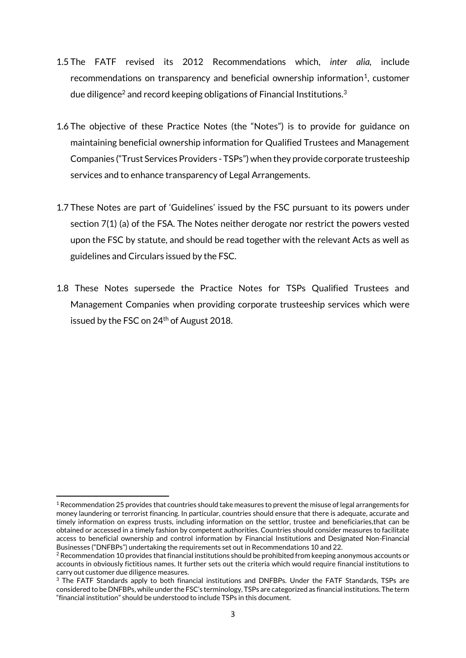- 1.5 The FATF revised its 2012 Recommendations which, *inter alia,* include recommendations on transparency and beneficial ownership information<sup>1</sup>, customer due diligence<sup>2</sup> and record keeping obligations of Financial Institutions.<sup>3</sup>
- 1.6 The objective of these Practice Notes (the "Notes") is to provide for guidance on maintaining beneficial ownership information for Qualified Trustees and Management Companies ("Trust Services Providers - TSPs") when they provide corporate trusteeship services and to enhance transparency of Legal Arrangements.
- 1.7 These Notes are part of 'Guidelines' issued by the FSC pursuant to its powers under section 7(1) (a) of the FSA. The Notes neither derogate nor restrict the powers vested upon the FSC by statute, and should be read together with the relevant Acts as well as guidelines and Circulars issued by the FSC.
- 1.8 These Notes supersede the Practice Notes for TSPs Qualified Trustees and Management Companies when providing corporate trusteeship services which were issued by the FSC on  $24<sup>th</sup>$  of August 2018.

**.** 

 $1$  Recommendation 25 provides that countries should take measures to prevent the misuse of legal arrangements for money laundering or terrorist financing. In particular, countries should ensure that there is adequate, accurate and timely information on express trusts, including information on the settlor, trustee and beneficiaries,that can be obtained or accessed in a timely fashion by competent authorities. Countries should consider measures to facilitate access to beneficial ownership and control information by Financial Institutions and Designated Non-Financial Businesses ("DNFBPs") undertaking the requirements set out in Recommendations 10 and 22.

 $2$  Recommendation 10 provides that financial institutions should be prohibited from keeping anonymous accounts or accounts in obviously fictitious names. It further sets out the criteria which would require financial institutions to carry out customer due diligence measures.

<sup>&</sup>lt;sup>3</sup> The FATF Standards apply to both financial institutions and DNFBPs. Under the FATF Standards, TSPs are considered to be DNFBPs, while under the FSC's terminology, TSPs are categorized as financial institutions. The term "financial institution" should be understood to include TSPs in this document.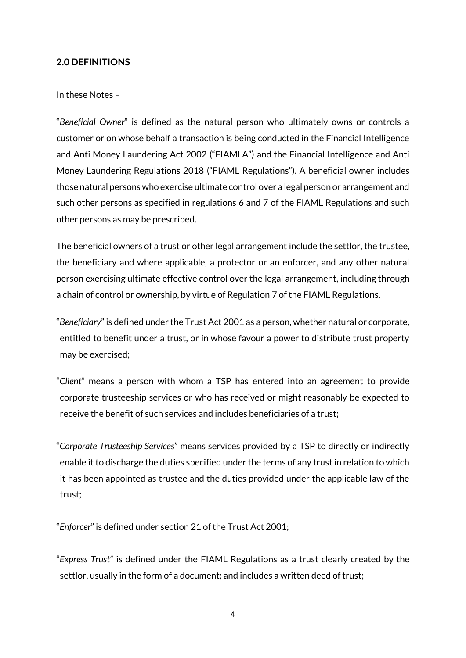## **2.0 DEFINITIONS**

#### In these Notes –

"*Beneficial Owner*" is defined as the natural person who ultimately owns or controls a customer or on whose behalf a transaction is being conducted in the Financial Intelligence and Anti Money Laundering Act 2002 ("FIAMLA") and the Financial Intelligence and Anti Money Laundering Regulations 2018 ("FIAML Regulations"). A beneficial owner includes those natural persons who exercise ultimate control over a legal person or arrangement and such other persons as specified in regulations 6 and 7 of the FIAML Regulations and such other persons as may be prescribed.

The beneficial owners of a trust or other legal arrangement include the settlor, the trustee, the beneficiary and where applicable, a protector or an enforcer, and any other natural person exercising ultimate effective control over the legal arrangement, including through a chain of control or ownership, by virtue of Regulation 7 of the FIAML Regulations.

"*Beneficiary*" is defined under the Trust Act 2001 as a person, whether natural or corporate, entitled to benefit under a trust, or in whose favour a power to distribute trust property may be exercised;

"*Client*" means a person with whom a TSP has entered into an agreement to provide corporate trusteeship services or who has received or might reasonably be expected to receive the benefit of such services and includes beneficiaries of a trust;

"*Corporate Trusteeship Services*" means services provided by a TSP to directly or indirectly enable it to discharge the duties specified under the terms of any trust in relation to which it has been appointed as trustee and the duties provided under the applicable law of the trust;

"*Enforcer*" is defined under section 21 of the Trust Act 2001;

"*Express Trust*" is defined under the FIAML Regulations as a trust clearly created by the settlor, usually in the form of a document; and includes a written deed of trust;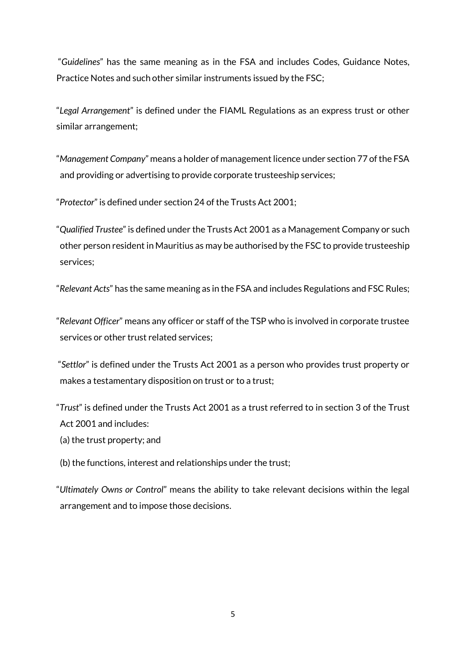"*Guidelines*" has the same meaning as in the FSA and includes Codes, Guidance Notes, Practice Notes and such other similar instruments issued by the FSC;

"*Legal Arrangement*" is defined under the FIAML Regulations as an express trust or other similar arrangement;

"*Management Company*" means a holder of management licence under section 77 of the FSA and providing or advertising to provide corporate trusteeship services;

"*Protector*" is defined under section 24 of the Trusts Act 2001;

"*Qualified Trustee*" is defined under the Trusts Act 2001 as a Management Company or such other person resident in Mauritius as may be authorised by the FSC to provide trusteeship services;

"*Relevant Acts*" has the same meaning as in the FSA and includes Regulations and FSC Rules;

"*Relevant Officer*" means any officer or staff of the TSP who is involved in corporate trustee services or other trust related services;

"*Settlor*" is defined under the Trusts Act 2001 as a person who provides trust property or makes a testamentary disposition on trust or to a trust;

"*Trust*" is defined under the Trusts Act 2001 as a trust referred to in section 3 of the Trust Act 2001 and includes:

- (a) the trust property; and
- (b) the functions, interest and relationships under the trust;

"*Ultimately Owns or Control*" means the ability to take relevant decisions within the legal arrangement and to impose those decisions.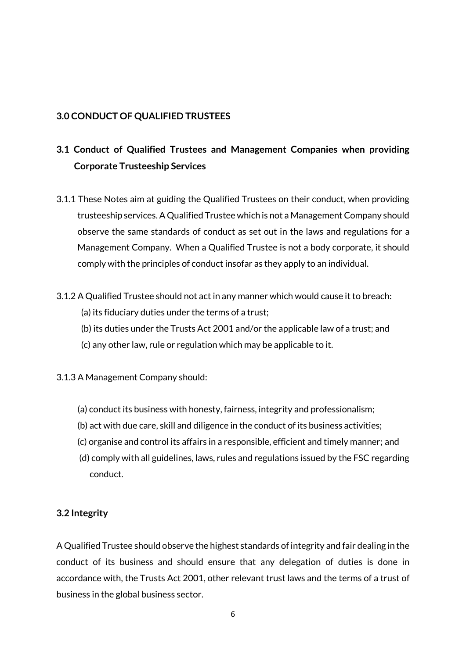## **3.0 CONDUCT OF QUALIFIED TRUSTEES**

# **3.1 Conduct of Qualified Trustees and Management Companies when providing Corporate Trusteeship Services**

- 3.1.1 These Notes aim at guiding the Qualified Trustees on their conduct, when providing trusteeship services. A Qualified Trustee which is not a Management Company should observe the same standards of conduct as set out in the laws and regulations for a Management Company. When a Qualified Trustee is not a body corporate, it should comply with the principles of conduct insofar as they apply to an individual.
- 3.1.2 A Qualified Trustee should not act in any manner which would cause it to breach:
	- (a) its fiduciary duties under the terms of a trust;
	- (b) its duties under the Trusts Act 2001 and/or the applicable law of a trust; and
	- (c) any other law, rule or regulation which may be applicable to it.

#### 3.1.3 A Management Company should:

- (a) conduct its business with honesty, fairness, integrity and professionalism;
- (b) act with due care, skill and diligence in the conduct of its business activities;
- (c) organise and control its affairs in a responsible, efficient and timely manner; and
- (d) comply with all guidelines, laws, rules and regulations issued by the FSC regarding conduct.

# **3.2 Integrity**

A Qualified Trustee should observe the highest standards of integrity and fair dealing in the conduct of its business and should ensure that any delegation of duties is done in accordance with, the Trusts Act 2001, other relevant trust laws and the terms of a trust of business in the global business sector.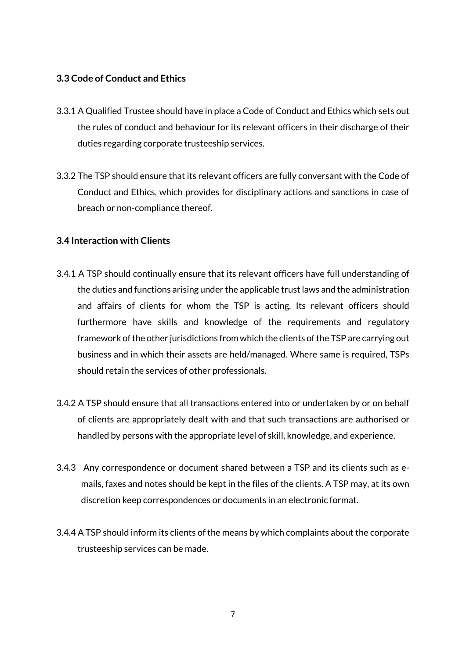## **3.3 Code of Conduct and Ethics**

- 3.3.1 A Qualified Trustee should have in place a Code of Conduct and Ethics which sets out the rules of conduct and behaviour for its relevant officers in their discharge of their duties regarding corporate trusteeship services.
- 3.3.2 The TSP should ensure that its relevant officers are fully conversant with the Code of Conduct and Ethics, which provides for disciplinary actions and sanctions in case of breach or non-compliance thereof.

## **3.4 Interaction with Clients**

- 3.4.1 A TSP should continually ensure that its relevant officers have full understanding of the duties and functions arising under the applicable trust laws and the administration and affairs of clients for whom the TSP is acting. Its relevant officers should furthermore have skills and knowledge of the requirements and regulatory framework of the other jurisdictions from which the clients of the TSP are carrying out business and in which their assets are held/managed. Where same is required, TSPs should retain the services of other professionals.
- 3.4.2 A TSP should ensure that all transactions entered into or undertaken by or on behalf of clients are appropriately dealt with and that such transactions are authorised or handled by persons with the appropriate level of skill, knowledge, and experience.
- 3.4.3 Any correspondence or document shared between a TSP and its clients such as emails, faxes and notes should be kept in the files of the clients. A TSP may, at its own discretion keep correspondences or documents in an electronic format.
- 3.4.4 A TSP should inform its clients of the means by which complaints about the corporate trusteeship services can be made.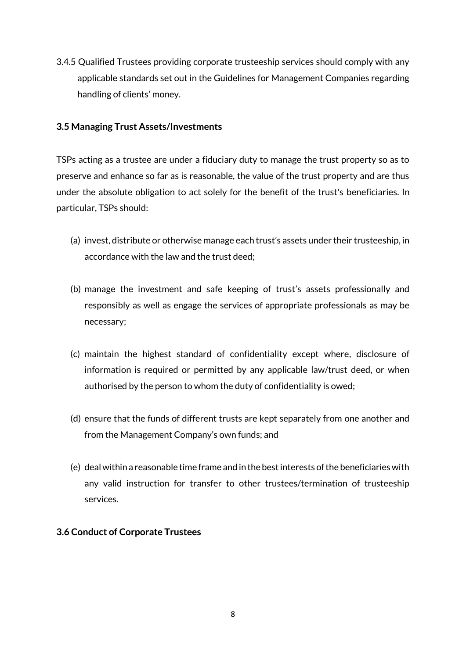3.4.5 Qualified Trustees providing corporate trusteeship services should comply with any applicable standards set out in the Guidelines for Management Companies regarding handling of clients' money.

## **3.5 Managing Trust Assets/Investments**

TSPs acting as a trustee are under a fiduciary duty to manage the trust property so as to preserve and enhance so far as is reasonable, the value of the trust property and are thus under the absolute obligation to act solely for the benefit of the trust's beneficiaries. In particular, TSPs should:

- (a) invest, distribute or otherwise manage each trust's assets under their trusteeship, in accordance with the law and the trust deed;
- (b) manage the investment and safe keeping of trust's assets professionally and responsibly as well as engage the services of appropriate professionals as may be necessary;
- (c) maintain the highest standard of confidentiality except where, disclosure of information is required or permitted by any applicable law/trust deed, or when authorised by the person to whom the duty of confidentiality is owed;
- (d) ensure that the funds of different trusts are kept separately from one another and from the Management Company's own funds; and
- (e) deal within a reasonable time frame and in the best interests of the beneficiaries with any valid instruction for transfer to other trustees/termination of trusteeship services.

#### **3.6 Conduct of Corporate Trustees**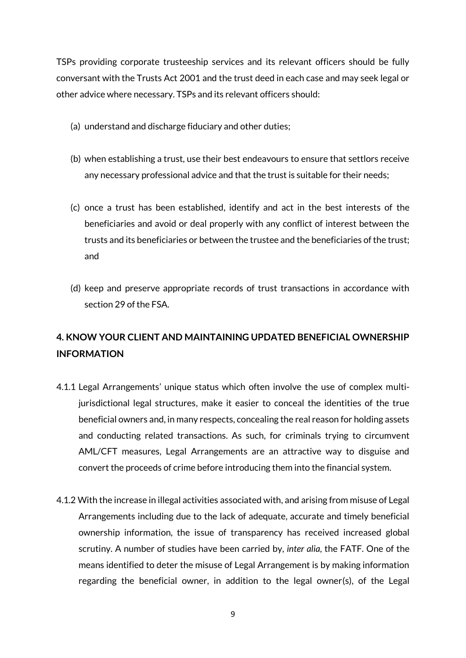TSPs providing corporate trusteeship services and its relevant officers should be fully conversant with the Trusts Act 2001 and the trust deed in each case and may seek legal or other advice where necessary. TSPs and its relevant officers should:

- (a) understand and discharge fiduciary and other duties;
- (b) when establishing a trust, use their best endeavours to ensure that settlors receive any necessary professional advice and that the trust is suitable for their needs;
- (c) once a trust has been established, identify and act in the best interests of the beneficiaries and avoid or deal properly with any conflict of interest between the trusts and its beneficiaries or between the trustee and the beneficiaries of the trust; and
- (d) keep and preserve appropriate records of trust transactions in accordance with section 29 of the FSA.

# **4. KNOW YOUR CLIENT AND MAINTAINING UPDATED BENEFICIAL OWNERSHIP INFORMATION**

- 4.1.1 Legal Arrangements' unique status which often involve the use of complex multijurisdictional legal structures, make it easier to conceal the identities of the true beneficial owners and, in many respects, concealing the real reason for holding assets and conducting related transactions. As such, for criminals trying to circumvent AML/CFT measures, Legal Arrangements are an attractive way to disguise and convert the proceeds of crime before introducing them into the financial system.
- 4.1.2 With the increase in illegal activities associated with, and arising from misuse of Legal Arrangements including due to the lack of adequate, accurate and timely beneficial ownership information, the issue of transparency has received increased global scrutiny. A number of studies have been carried by, *inter alia*, the FATF. One of the means identified to deter the misuse of Legal Arrangement is by making information regarding the beneficial owner, in addition to the legal owner(s), of the Legal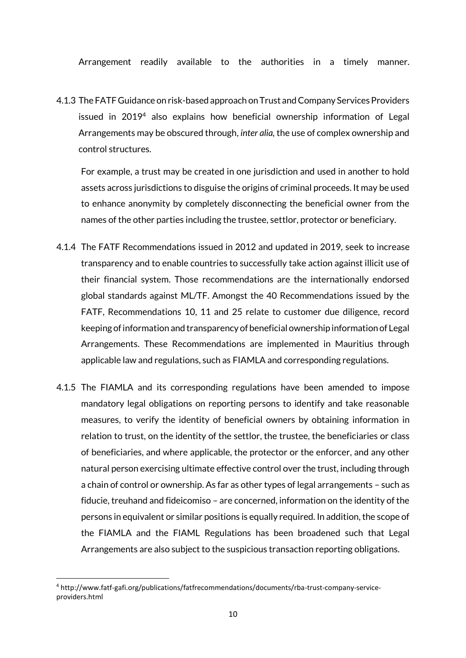Arrangement readily available to the authorities in a timely manner.

4.1.3 The FATF Guidance on risk-based approach on Trust and Company Services Providers issued in 2019<sup>4</sup> also explains how beneficial ownership information of Legal Arrangements may be obscured through, *inter alia,* the use of complex ownership and control structures.

For example, a trust may be created in one jurisdiction and used in another to hold assets across jurisdictions to disguise the origins of criminal proceeds. It may be used to enhance anonymity by completely disconnecting the beneficial owner from the names of the other parties including the trustee, settlor, protector or beneficiary.

- 4.1.4 The FATF Recommendations issued in 2012 and updated in 2019, seek to increase transparency and to enable countries to successfully take action against illicit use of their financial system. Those recommendations are the internationally endorsed global standards against ML/TF. Amongst the 40 Recommendations issued by the FATF, Recommendations 10, 11 and 25 relate to customer due diligence, record keeping of information and transparency of beneficial ownership information of Legal Arrangements. These Recommendations are implemented in Mauritius through applicable law and regulations, such as FIAMLA and corresponding regulations.
- 4.1.5 The FIAMLA and its corresponding regulations have been amended to impose mandatory legal obligations on reporting persons to identify and take reasonable measures, to verify the identity of beneficial owners by obtaining information in relation to trust, on the identity of the settlor, the trustee, the beneficiaries or class of beneficiaries, and where applicable, the protector or the enforcer, and any other natural person exercising ultimate effective control over the trust, including through a chain of control or ownership. As far as other types of legal arrangements – such as fiducie, treuhand and fideicomiso – are concerned, information on the identity of the persons in equivalent or similar positions is equally required. In addition, the scope of the FIAMLA and the FIAML Regulations has been broadened such that Legal Arrangements are also subject to the suspicious transaction reporting obligations.

**<sup>.</sup>** <sup>4</sup> http://www.fatf-gafi.org/publications/fatfrecommendations/documents/rba-trust-company-serviceproviders.html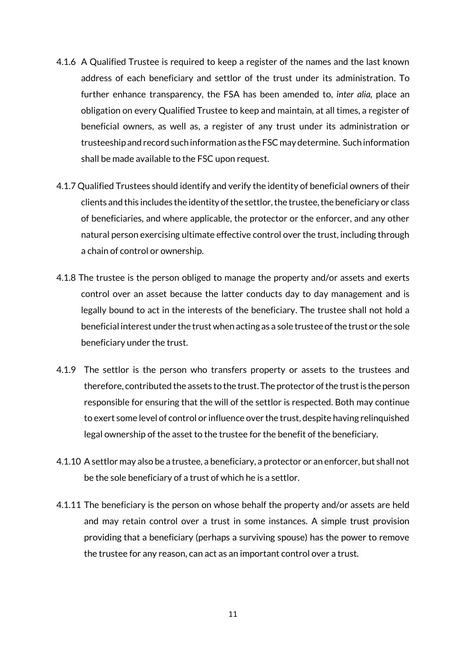- 4.1.6 A Qualified Trustee is required to keep a register of the names and the last known address of each beneficiary and settlor of the trust under its administration. To further enhance transparency, the FSA has been amended to, *inter alia,* place an obligation on every Qualified Trustee to keep and maintain, at all times, a register of beneficial owners, as well as, a register of any trust under its administration or trusteeship and record such information as the FSC may determine. Such information shall be made available to the FSC upon request.
- 4.1.7 Qualified Trustees should identify and verify the identity of beneficial owners of their clients and this includes the identity of the settlor, the trustee, the beneficiary or class of beneficiaries, and where applicable, the protector or the enforcer, and any other natural person exercising ultimate effective control over the trust, including through a chain of control or ownership.
- 4.1.8 The trustee is the person obliged to manage the property and/or assets and exerts control over an asset because the latter conducts day to day management and is legally bound to act in the interests of the beneficiary. The trustee shall not hold a beneficial interest under the trust when acting as a sole trustee of the trust or the sole beneficiary under the trust.
- 4.1.9 The settlor is the person who transfers property or assets to the trustees and therefore, contributed the assets to the trust. The protector of the trust is the person responsible for ensuring that the will of the settlor is respected. Both may continue to exert some level of control or influence over the trust, despite having relinquished legal ownership of the asset to the trustee for the benefit of the beneficiary.
- 4.1.10 A settlor may also be a trustee, a beneficiary, a protector or an enforcer, but shall not be the sole beneficiary of a trust of which he is a settlor.
- 4.1.11 The beneficiary is the person on whose behalf the property and/or assets are held and may retain control over a trust in some instances. A simple trust provision providing that a beneficiary (perhaps a surviving spouse) has the power to remove the trustee for any reason, can act as an important control over a trust.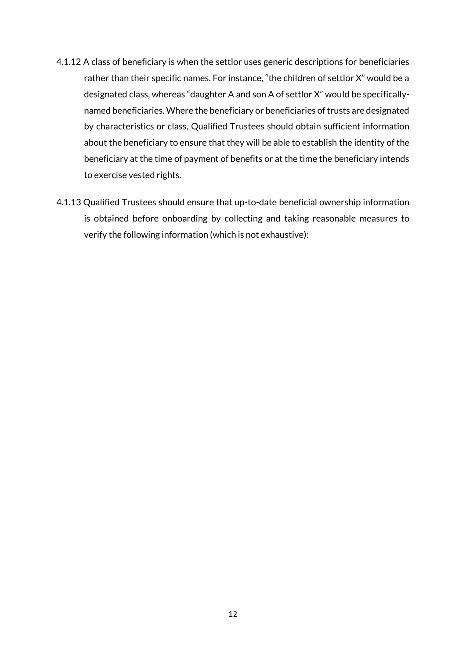- 4.1.12 A class of beneficiary is when the settlor uses generic descriptions for beneficiaries rather than their specific names. For instance, "the children of settlor X" would be a designated class, whereas "daughter A and son A of settlor X" would be specificallynamed beneficiaries. Where the beneficiary or beneficiaries of trusts are designated by characteristics or class, Qualified Trustees should obtain sufficient information about the beneficiary to ensure that they will be able to establish the identity of the beneficiary at the time of payment of benefits or at the time the beneficiary intends to exercise vested rights.
- 4.1.13 Qualified Trustees should ensure that up-to-date beneficial ownership information is obtained before onboarding by collecting and taking reasonable measures to verify the following information (which is not exhaustive):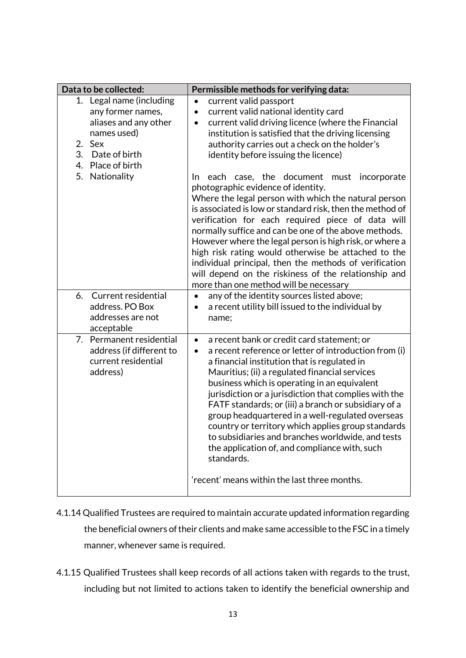| Data to be collected:                                                                                                                                                  | Permissible methods for verifying data:                                                                                                                                                                                                                                                                                                                                                                                                                                                                                                                                                                                                                                                                                                                                                                                                                                                                               |
|------------------------------------------------------------------------------------------------------------------------------------------------------------------------|-----------------------------------------------------------------------------------------------------------------------------------------------------------------------------------------------------------------------------------------------------------------------------------------------------------------------------------------------------------------------------------------------------------------------------------------------------------------------------------------------------------------------------------------------------------------------------------------------------------------------------------------------------------------------------------------------------------------------------------------------------------------------------------------------------------------------------------------------------------------------------------------------------------------------|
| 1. Legal name (including<br>any former names,<br>aliases and any other<br>names used)<br>2.<br>Sex<br>3.<br>Date of birth<br>Place of birth<br>4.<br>5.<br>Nationality | current valid passport<br>$\bullet$<br>current valid national identity card<br>$\bullet$<br>current valid driving licence (where the Financial<br>$\bullet$<br>institution is satisfied that the driving licensing<br>authority carries out a check on the holder's<br>identity before issuing the licence)<br>each case, the document must incorporate<br>In.<br>photographic evidence of identity.<br>Where the legal person with which the natural person<br>is associated is low or standard risk, then the method of<br>verification for each required piece of data will<br>normally suffice and can be one of the above methods.<br>However where the legal person is high risk, or where a<br>high risk rating would otherwise be attached to the<br>individual principal, then the methods of verification<br>will depend on the riskiness of the relationship and<br>more than one method will be necessary |
| Current residential<br>6.<br>address. PO Box<br>addresses are not<br>acceptable                                                                                        | any of the identity sources listed above;<br>$\bullet$<br>a recent utility bill issued to the individual by<br>name;                                                                                                                                                                                                                                                                                                                                                                                                                                                                                                                                                                                                                                                                                                                                                                                                  |
| Permanent residential<br>7.<br>address (if different to<br>current residential<br>address)                                                                             | a recent bank or credit card statement; or<br>$\bullet$<br>a recent reference or letter of introduction from (i)<br>$\bullet$<br>a financial institution that is regulated in<br>Mauritius; (ii) a regulated financial services<br>business which is operating in an equivalent<br>jurisdiction or a jurisdiction that complies with the<br>FATF standards; or (iii) a branch or subsidiary of a<br>group headquartered in a well-regulated overseas<br>country or territory which applies group standards<br>to subsidiaries and branches worldwide, and tests<br>the application of, and compliance with, such<br>standards.<br>'recent' means within the last three months.                                                                                                                                                                                                                                        |
|                                                                                                                                                                        |                                                                                                                                                                                                                                                                                                                                                                                                                                                                                                                                                                                                                                                                                                                                                                                                                                                                                                                       |

- 4.1.14 Qualified Trustees are required to maintain accurate updated information regarding the beneficial owners of their clients and make same accessible to the FSC in a timely manner, whenever same is required.
- 4.1.15 Qualified Trustees shall keep records of all actions taken with regards to the trust, including but not limited to actions taken to identify the beneficial ownership and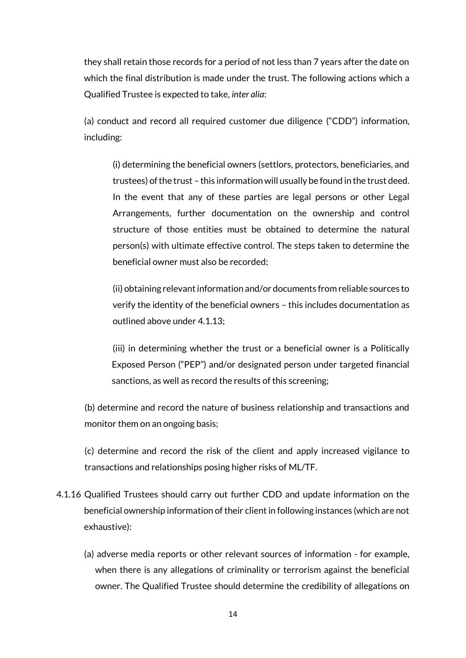they shall retain those records for a period of not less than 7 years after the date on which the final distribution is made under the trust. The following actions which a Qualified Trustee is expected to take, *inter alia*:

(a) conduct and record all required customer due diligence ("CDD") information, including:

(i) determining the beneficial owners (settlors, protectors, beneficiaries, and trustees) of the trust – this information will usually be found in the trust deed. In the event that any of these parties are legal persons or other Legal Arrangements, further documentation on the ownership and control structure of those entities must be obtained to determine the natural person(s) with ultimate effective control. The steps taken to determine the beneficial owner must also be recorded;

 (ii) obtaining relevant information and/or documents from reliable sources to verify the identity of the beneficial owners – this includes documentation as outlined above under 4.1.13;

(iii) in determining whether the trust or a beneficial owner is a Politically Exposed Person ("PEP") and/or designated person under targeted financial sanctions, as well as record the results of this screening;

(b) determine and record the nature of business relationship and transactions and monitor them on an ongoing basis;

(c) determine and record the risk of the client and apply increased vigilance to transactions and relationships posing higher risks of ML/TF.

- 4.1.16 Qualified Trustees should carry out further CDD and update information on the beneficial ownership information of their client in following instances (which are not exhaustive):
	- (a) adverse media reports or other relevant sources of information for example, when there is any allegations of criminality or terrorism against the beneficial owner. The Qualified Trustee should determine the credibility of allegations on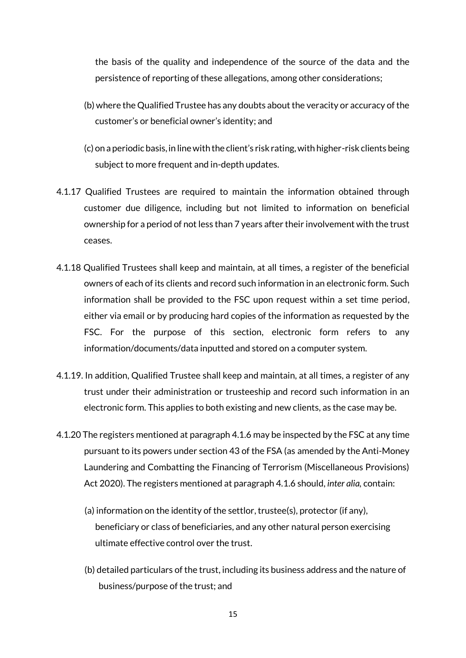the basis of the quality and independence of the source of the data and the persistence of reporting of these allegations, among other considerations;

- (b) where the Qualified Trustee has any doubts about the veracity or accuracy of the customer's or beneficial owner's identity; and
- (c) on a periodic basis, in line with the client's risk rating, with higher-risk clients being subject to more frequent and in-depth updates.
- 4.1.17 Qualified Trustees are required to maintain the information obtained through customer due diligence, including but not limited to information on beneficial ownership for a period of not less than 7 years after their involvement with the trust ceases.
- 4.1.18 Qualified Trustees shall keep and maintain, at all times, a register of the beneficial owners of each of its clients and record such information in an electronic form. Such information shall be provided to the FSC upon request within a set time period, either via email or by producing hard copies of the information as requested by the FSC. For the purpose of this section, electronic form refers to any information/documents/data inputted and stored on a computer system.
- 4.1.19. In addition, Qualified Trustee shall keep and maintain, at all times, a register of any trust under their administration or trusteeship and record such information in an electronic form. This applies to both existing and new clients, as the case may be.
- 4.1.20 The registers mentioned at paragraph 4.1.6 may be inspected by the FSC at any time pursuant to its powers under section 43 of the FSA (as amended by the Anti-Money Laundering and Combatting the Financing of Terrorism (Miscellaneous Provisions) Act 2020). The registers mentioned at paragraph 4.1.6 should, *inter alia,* contain:
	- (a) information on the identity of the settlor, trustee(s), protector (if any), beneficiary or class of beneficiaries, and any other natural person exercising ultimate effective control over the trust.
	- (b) detailed particulars of the trust, including its business address and the nature of business/purpose of the trust; and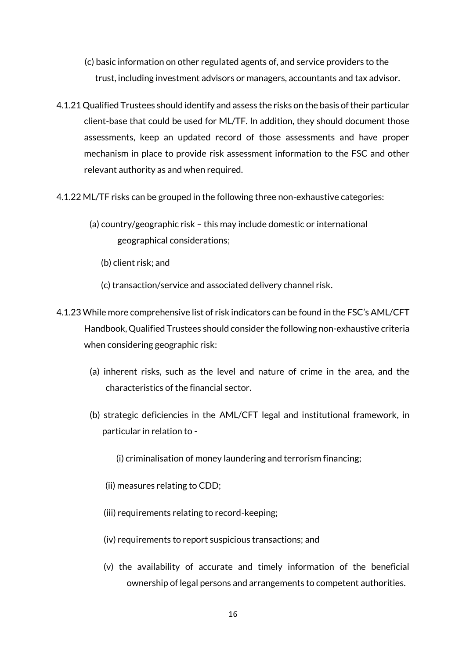- (c) basic information on other regulated agents of, and service providers to the trust, including investment advisors or managers, accountants and tax advisor.
- 4.1.21 Qualified Trustees should identify and assess the risks on the basis of their particular client-base that could be used for ML/TF. In addition, they should document those assessments, keep an updated record of those assessments and have proper mechanism in place to provide risk assessment information to the FSC and other relevant authority as and when required.
- 4.1.22 ML/TF risks can be grouped in the following three non-exhaustive categories:
	- (a) country/geographic risk this may include domestic or international geographical considerations;
		- (b) client risk; and
		- (c) transaction/service and associated delivery channel risk.
- 4.1.23 While more comprehensive list of risk indicators can be found in the FSC's AML/CFT Handbook, Qualified Trustees should consider the following non-exhaustive criteria when considering geographic risk:
	- (a) inherent risks, such as the level and nature of crime in the area, and the characteristics of the financial sector.
	- (b) strategic deficiencies in the AML/CFT legal and institutional framework, in particular in relation to -
		- (i) criminalisation of money laundering and terrorism financing;
		- (ii) measures relating to CDD;
		- (iii) requirements relating to record-keeping;
		- (iv) requirements to report suspicious transactions; and
		- (v) the availability of accurate and timely information of the beneficial ownership of legal persons and arrangements to competent authorities.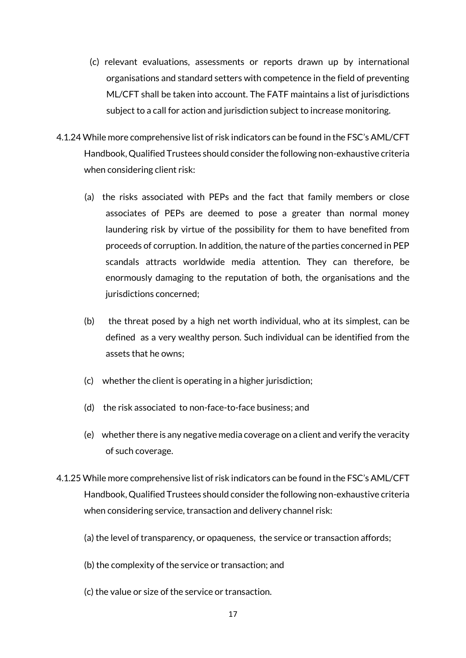- (c) relevant evaluations, assessments or reports drawn up by international organisations and standard setters with competence in the field of preventing ML/CFT shall be taken into account. The FATF maintains a list of jurisdictions subject to a call for action and jurisdiction subject to increase monitoring.
- 4.1.24 While more comprehensive list of risk indicators can be found in the FSC's AML/CFT Handbook, Qualified Trustees should consider the following non-exhaustive criteria when considering client risk:
	- (a) the risks associated with PEPs and the fact that family members or close associates of PEPs are deemed to pose a greater than normal money laundering risk by virtue of the possibility for them to have benefited from proceeds of corruption. In addition, the nature of the parties concerned in PEP scandals attracts worldwide media attention. They can therefore, be enormously damaging to the reputation of both, the organisations and the jurisdictions concerned;
	- (b) the threat posed by a high net worth individual, who at its simplest, can be defined as a very wealthy person. Such individual can be identified from the assets that he owns;
	- (c) whether the client is operating in a higher jurisdiction;
	- (d) the risk associated to non-face-to-face business; and
	- (e) whether there is any negative media coverage on a client and verify the veracity of such coverage.
- 4.1.25 While more comprehensive list of risk indicators can be found in the FSC's AML/CFT Handbook, Qualified Trustees should consider the following non-exhaustive criteria when considering service, transaction and delivery channel risk:
	- (a) the level of transparency, or opaqueness, the service or transaction affords;
	- (b) the complexity of the service or transaction; and
	- (c) the value or size of the service or transaction.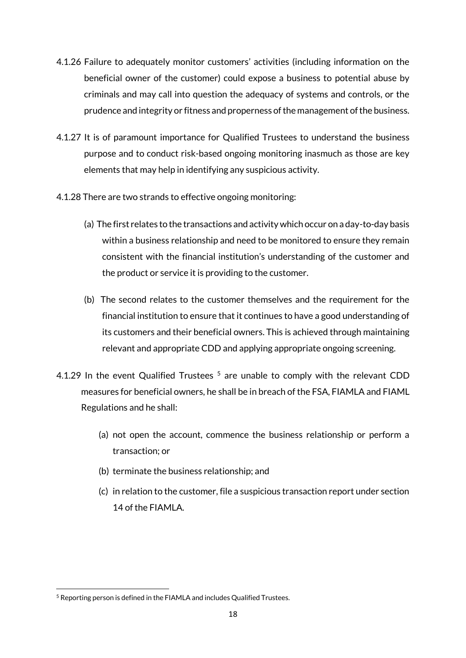- 4.1.26 Failure to adequately monitor customers' activities (including information on the beneficial owner of the customer) could expose a business to potential abuse by criminals and may call into question the adequacy of systems and controls, or the prudence and integrity or fitness and properness of the management of the business.
- 4.1.27 It is of paramount importance for Qualified Trustees to understand the business purpose and to conduct risk-based ongoing monitoring inasmuch as those are key elements that may help in identifying any suspicious activity.
- 4.1.28 There are two strands to effective ongoing monitoring:
	- (a) The first relates to the transactions and activity which occur on a day-to-day basis within a business relationship and need to be monitored to ensure they remain consistent with the financial institution's understanding of the customer and the product or service it is providing to the customer.
	- (b) The second relates to the customer themselves and the requirement for the financial institution to ensure that it continues to have a good understanding of its customers and their beneficial owners. This is achieved through maintaining relevant and appropriate CDD and applying appropriate ongoing screening.
- 4.1.29 In the event Qualified Trustees  $<sup>5</sup>$  are unable to comply with the relevant CDD</sup> measures for beneficial owners, he shall be in breach of the FSA, FIAMLA and FIAML Regulations and he shall:
	- (a) not open the account, commence the business relationship or perform a transaction; or
	- (b) terminate the business relationship; and
	- (c) in relation to the customer, file a suspicious transaction report under section 14 of the FIAMLA.

 $\overline{a}$ 

<sup>5</sup> Reporting person is defined in the FIAMLA and includes Qualified Trustees.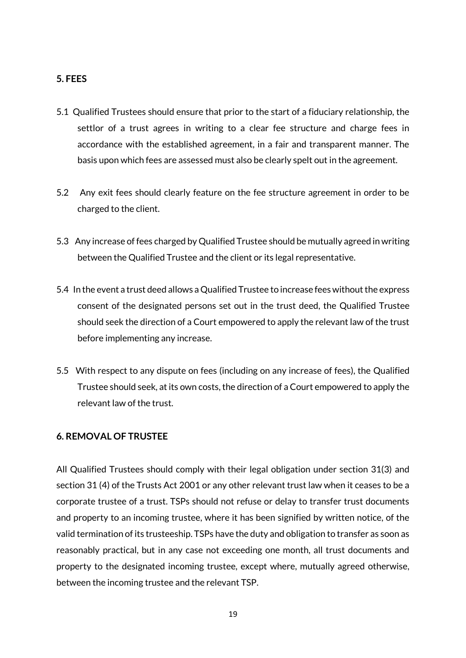#### **5. FEES**

- 5.1 Qualified Trustees should ensure that prior to the start of a fiduciary relationship, the settlor of a trust agrees in writing to a clear fee structure and charge fees in accordance with the established agreement, in a fair and transparent manner. The basis upon which fees are assessed must also be clearly spelt out in the agreement.
- 5.2 Any exit fees should clearly feature on the fee structure agreement in order to be charged to the client.
- 5.3 Any increase of fees charged by Qualified Trustee should be mutually agreed in writing between the Qualified Trustee and the client or its legal representative.
- 5.4 In the event a trust deed allows a Qualified Trustee to increase fees without the express consent of the designated persons set out in the trust deed, the Qualified Trustee should seek the direction of a Court empowered to apply the relevant law of the trust before implementing any increase.
- 5.5 With respect to any dispute on fees (including on any increase of fees), the Qualified Trustee should seek, at its own costs, the direction of a Court empowered to apply the relevant law of the trust.

#### **6. REMOVAL OF TRUSTEE**

All Qualified Trustees should comply with their legal obligation under section 31(3) and section 31 (4) of the Trusts Act 2001 or any other relevant trust law when it ceases to be a corporate trustee of a trust. TSPs should not refuse or delay to transfer trust documents and property to an incoming trustee, where it has been signified by written notice, of the valid termination of its trusteeship. TSPs have the duty and obligation to transfer as soon as reasonably practical, but in any case not exceeding one month, all trust documents and property to the designated incoming trustee, except where, mutually agreed otherwise, between the incoming trustee and the relevant TSP.